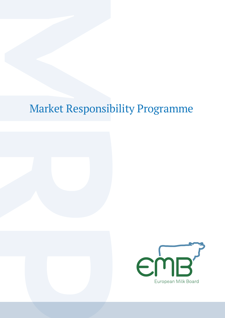# Market Responsibility Programme

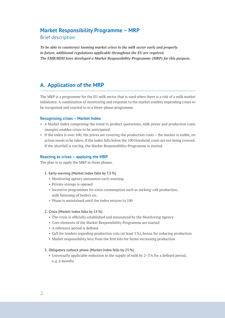## **Market Responsibility Programme – MRP**

Brief description

*To be able to counteract looming market crises in the milk sector early and properly in future, additional regulations applicable throughout the EU are required. The EMB/BDM have developed a Market Responsibility Programme (MRP) for this purpose.*

# **A. Application of the MRP**

The MRP is a programme for the EU milk sector that is used when there is a risk of a milk market imbalance. A combination of monitoring and response to the market enables impending crises to be recognised and reacted to in a three-phase programme.

#### **Recognising crises – Market Index**

- **•** A Market Index comprising the trend in product quotations, milk prices and production costs (margin) enables crises to be anticipated.
- If the index is over 100, the prices are covering the production costs the market is stable, no action needs to be taken. If the index falls below the 100 threshold, costs are not being covered. If the shortfall is too big, the Market Responsibility Programme is started.

#### **Reacting to crises – applying the MRP**

The plan is to apply the MRP in three phases.

- **1. Early warning (Market Index falls by 7.5%)**
	- **•** Monitoring agency announces early warning
	- **•** Private storage is opened
	- **•** Incentive programmes for extra consumption such as sucking-calf production, milk fattening of heifers etc.
	- **•** Phase is maintained until the index returns to 100
- **2. Crisis (Market Index falls by 15%)**
	- **•** The crisis is officially established and announced by the Monitoring Agency
	- **•** Core elements of the Market Responsibility Programme are started
	- **•** A reference period is defined
	- **•** Call for tenders regarding production cuts (at least 5 %), bonus for reducing production
	- **•** Market responsibility levy from the first kilo for farms increasing production
- **3. Obligatory cutback phase (Market Index falls by 25%)**
	- Universally applicable reduction in the supply of milk by 2-3% for a defined period, e.g. 6 months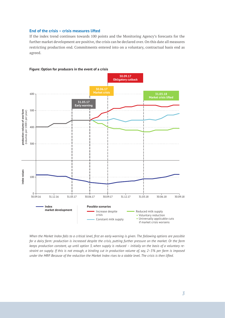#### **End of the crisis – crisis measures lifted**

If the index trend continues towards 100 points and the Monitoring Agency's forecasts for the further market development are positive, the crisis can be declared over. On this date all measures restricting production end. Commitments entered into on a voluntary, contractual basis end as agreed.



**Figure: Option for producers in the event of a crisis**

*When the Market Index falls to a critical level, first an early warning is given. The following options are possible for a dairy farm: production is increased despite the crisis, putting further pressure on the market. Or the farm keeps production constant, up until option 3, when supply is reduced – initially on the basis of a voluntary restraint on supply. If this is not enough, a binding cut in production volume of, say, 2–3% per farm is imposed under the MRP. Because of the reduction the Market Index rises to a stable level. The crisis is then lifted.*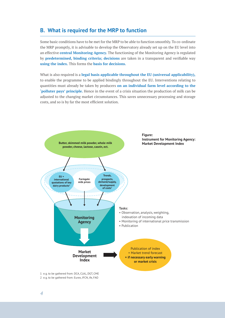### **B. What is required for the MRP to function**

Some basic conditions have to be met for the MRP to be able to function smoothly. To co-ordinate the MRP promptly, it is advisable to develop the Observatory already set up on the EU level into an effective **central Monitoring Agency.** The functioning of the Monitoring Agency is regulated by **predetermined, binding criteria; decisions** are taken in a transparent and verifiable way **using the index.** This forms the **basis for decisions.**

What is also required is a **legal basis applicable throughout the EU (universal applicability),** to enable the programme to be applied bindingly throughout the EU. Interventions relating to quantities must already be taken by producers **on an individual farm level according to the 'polluter pays' principle.** Hence in the event of a crisis situation the production of milk can be adjusted to the changing market circumstances. This saves unnecessary processing and storage costs, and so is by far the most efficient solution.



2 e. g. to be gathered from: Eurex, IFCN, ife, FAO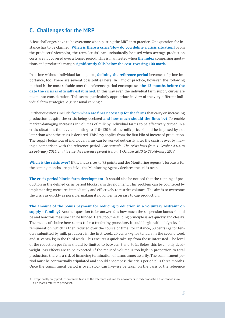## **C. Challenges for the MRP**

A few challenges have to be overcome when putting the MRP into practice. One question for instance has to be clarified: **When is there a crisis /How do you define a crisis situation?** From the producers' viewpoint, the term "crisis" can undoubtedly be used when average production costs are not covered over a longer period. This is manifested when **the index** comprising quotations and producer's margin **significantly falls below the cost-covering 100 mark.**

In a time without individual farm quotas, **defining the reference period** becomes of prime importance, too. There are several possibilities here. In light of practice, however, the following method is the most suitable one: the reference period encompasses **the 12 months before the date the crisis is officially established.** In this way even the individual farm supply curves are taken into consideration. This seems particularly appropriate in view of the very different individual farm strategies, e.g. seasonal calving.<sup>3</sup>

Further questions include **from when are fines necessary for the farms** that carry on increasing production despite the crisis being declared **and how much should the fines be?** To enable market-damaging increases in volumes of milk by individual farms to be effectively curbed in a crisis situation, the levy amounting to 110–120% of the milk price should be imposed by not later than when the crisis is declared. This levy applies from the first kilo of increased production. The supply behaviour of individual farms can be worked out easily after the crisis is over by making a comparison with the reference period. *For example: The crisis lasts from 1 October 2014 to 28 February 2015. In this case the reference period is from 1 October 2013 to 28 February 2014.*

**When is the crisis over?** If the index rises to 95 points and the Monitoring Agency's forecasts for the coming months are positive, the Monitoring Agency declares the crisis over.

**The crisis period blocks farm development!** It should also be noticed that the capping of production in the defined crisis period blocks farm development. This problem can be countered by implementing measures immediately and effectively to restrict volumes. The aim is to overcome the crisis as quickly as possible, making it no longer necessary to cap production.

**The amount of the bonus payment for reducing production in a voluntary restraint on supply – funding?** Another question to be answered is how much the suspension bonus should be and how this measure can be funded. Here, too, the guiding principle is act quickly and clearly. The means of choice here seems to be a tendering procedure. It could begin with a high level of remuneration, which is then reduced over the course of time: for instance, 30 cents / kg for tenders submitted by milk producers in the first week, 20 cents / kg for tenders in the second week and 10 cents/kg in the third week. This ensures a quick take-up from those interested. The level of the reduction per farm should be limited to between 5 and 30%. Below this level, only deadweight loss effects are to be expected. If the reduced volume is too high in proportion to total production, there is a risk of financing termination of farms unnecessarily. The commitment period must be contractually stipulated and should encompass the crisis period plus three months. Once the commitment period is over, stock can likewise be taken on the basis of the reference

<sup>3</sup> Exceptionally daily production can be taken as the reference volume for newcomers to milk production that cannot show a 12-month reference period yet.